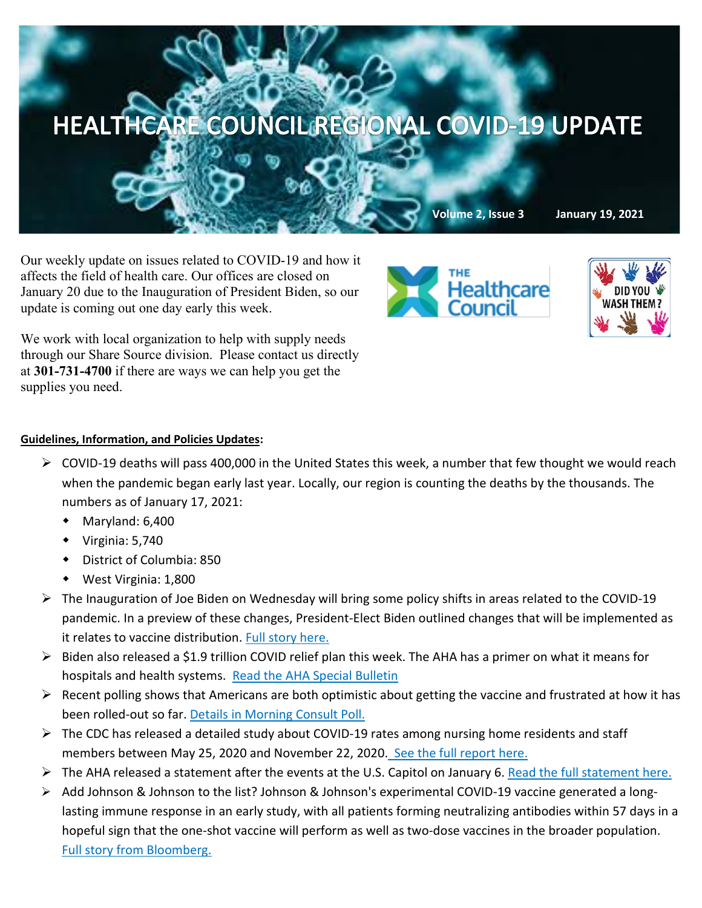

Our weekly update on issues related to COVID-19 and how it affects the field of health care. Our offices are closed on January 20 due to the Inauguration of President Biden, so our update is coming out one day early this week.

**THE** Healthcare



We work with local organization to help with supply needs through our Share Source division. Please contact us directly at **301-731-4700** if there are ways we can help you get the supplies you need.

## **Guidelines, Information, and Policies Updates:**

- $\triangleright$  COVID-19 deaths will pass 400,000 in the United States this week, a number that few thought we would reach when the pandemic began early last year. Locally, our region is counting the deaths by the thousands. The numbers as of January 17, 2021:
	- Maryland: 6,400
	- $\bullet$  Virginia: 5,740
	- District of Columbia: 850
	- West Virginia: 1,800
- The Inauguration of Joe Biden on Wednesday will bring some policy shifts in areas related to the COVID-19 pandemic. In a preview of these changes, President-Elect Biden outlined changes that will be implemented as it relates to vaccine distribution. [Full story here.](https://www.cnn.com/2021/01/15/politics/biden-administering-vaccines-plan/index.html?mkt_tok=eyJpIjoiWm1abVl6RTFZV013TnpZeCIsInQiOiJ4cXVWNGwzRlk0eVh4R1VPQ21tVzZ6dDdcL0p3MHVkWmcwS1F3RVhDeWpzYTNqSkhuNVE0RU53eG5OT1ZqQkU0dGxwVlpKRGZST1BoRXRZYmxxNyt5eDI1b1luXC9FQlorY3g2dStlSGRoeWI3bEtoVmlQYVRcL016S29NaFp2NHlHViJ9)
- $\triangleright$  Biden also released a \$1.9 trillion COVID relief plan this week. The AHA has a primer on what it means for hospitals and health systems. [Read the AHA Special Bulletin](https://contentsharing.net/actions/email_web_version.cfm?ep=Bdhtp-zVuqFkgQiV6-lxty0f-nrLBJWzuTngPvD-5dXez6po2T9T9a4BOifepgCDSIMCE4UyP_Z3Dwcsod1REwI1wBV3Sozk8rYDBadzZgEN4MYXHka3T9_dHlv9q02r)
- $\triangleright$  Recent polling shows that Americans are both optimistic about getting the vaccine and frustrated at how it has been rolled-out so far[. Details in Morning Consult Poll.](https://morningconsult.com/2021/01/11/coronavirus-vaccine-distribution-feelings-polling/?mkt_tok=eyJpIjoiTnpJd09ETTJNVGxoWmpNNCIsInQiOiJtaVFpaHU1VUZqQzI3WDdHOVoxVUVuS3FEWjhPb25HYzBMXC9zcHhjNUdvcjczMHBCRVFBU1ZRbU5IYm41RE5CRHZENGhMYm9RdmlpaTNGTWlyak5Hd0FZaDNyeUY3a3RhcVFGSkVBazFrd2tOYUx6RGtWSTJwNmVPbHEzcjY2MHcifQ==)
- $\triangleright$  The CDC has released a detailed study about COVID-19 rates among nursing home residents and staff members between May 25, 2020 and November 22, 2020. [See the full report here.](https://www.cdc.gov/mmwr/volumes/70/wr/mm7002e2.htm?s_cid=mm7002e2_e&ACSTrackingID=USCDC_921-DM46259&ACSTrackingLabel=This%20Week%20in%20MMWR%20-%20Vol.%2070,%20January%2015,%202021&deliveryName=USCDC_921-DM46259)
- The AHA released a statement after the events at the U.S. Capitol on January 6. [Read the full statement here.](https://contentsharing.net/actions/email_web_version.cfm?ep=Bdhtp-zVuqFkgQiV6-lxty0f-nrLBJWzuTngPvD-5dXtiDD4-4hrQjiiBP2_apKj_cbcrs08muWn6-6IEPQYp-g5y-_VSVDXiOFRNxfPtGrTLvQCn_-fqqPH0X1N8Vso)
- Add Johnson & Johnson to the list? Johnson & Johnson's experimental COVID-19 vaccine generated a longlasting immune response in an early study, with all patients forming neutralizing antibodies within 57 days in a hopeful sign that the one-shot vaccine will perform as well as two-dose vaccines in the broader population. [Full story from Bloomberg.](https://www.bloomberg.com/news/articles/2021-01-13/j-j-one-shot-vaccine-grants-lasting-response-in-early-study?mkt_tok=eyJpIjoiWkdOaU5ERTBZVFZoWkRkbCIsInQiOiJ4YXZ3ME9KXC9qam5QbWt3OHJaXC9MK0k1SWFsVTcwQ0Z4NEJOTWJDMlVhMnE5Q1I1d0g2OVkrcWlVSjA1bFJOV01YK29EZmsrNFwvWlc5cW9mQlltQXIrV09ZMUlmY2ZSVkhvWVY2bmlFdU4wNU9qNTMyZmh2b2kxenlob1p4ZUtabSJ9)